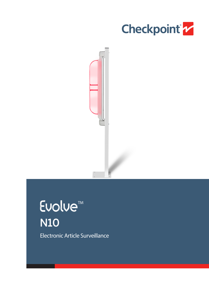



Evolue<sup>TM</sup>  $\overline{\text{N10}}$ Electronic Article Surveillance